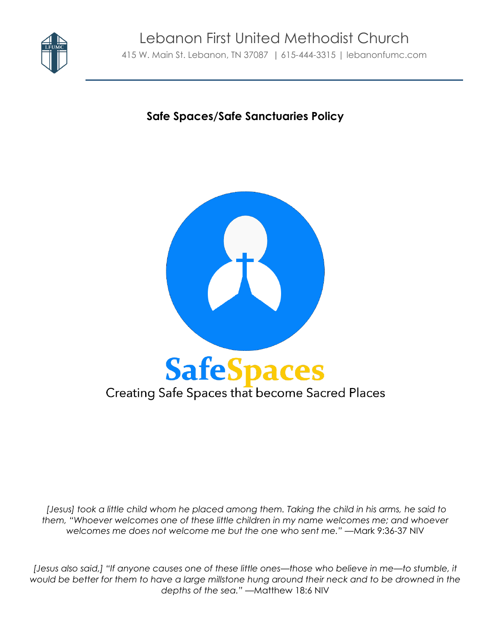

# **Safe Spaces/Safe Sanctuaries Policy**



*[Jesus] took a little child whom he placed among them. Taking the child in his arms, he said to them, "Whoever welcomes one of these little children in my name welcomes me; and whoever welcomes me does not welcome me but the one who sent me."* —Mark 9:36-37 NIV

*[Jesus also said,] "If anyone causes one of these little ones—those who believe in me—to stumble, it*  would be better for them to have a large millstone hung around their neck and to be drowned in the *depths of the sea."* —Matthew 18:6 NIV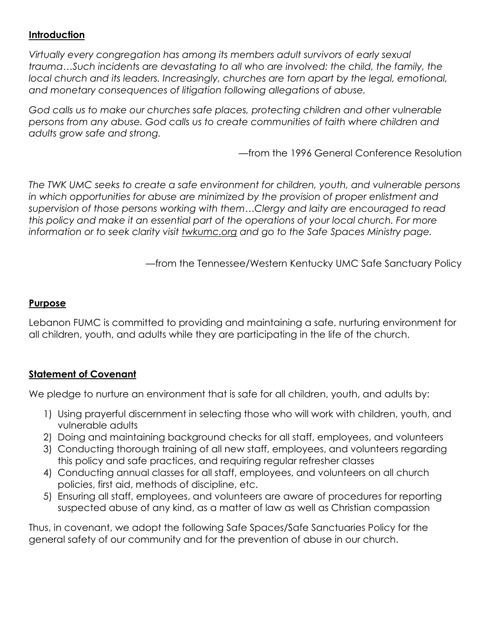#### **Introduction**

*Virtually every congregation has among its members adult survivors of early sexual trauma…Such incidents are devastating to all who are involved: the child, the family, the local church and its leaders. Increasingly, churches are torn apart by the legal, emotional, and monetary consequences of litigation following allegations of abuse.*

*God calls us to make our churches safe places, protecting children and other vulnerable persons from any abuse. God calls us to create communities of faith where children and adults grow safe and strong.*

—from the 1996 General Conference Resolution

*The TWK UMC seeks to create a safe environment for children, youth, and vulnerable persons in which opportunities for abuse are minimized by the provision of proper enlistment and supervision of those persons working with them…Clergy and laity are encouraged to read this policy and make it an essential part of the operations of your local church. For more information or to seek clarity visit twkumc.org and go to the Safe Spaces Ministry page.*

—from the Tennessee/Western Kentucky UMC Safe Sanctuary Policy

#### **Purpose**

Lebanon FUMC is committed to providing and maintaining a safe, nurturing environment for all children, youth, and adults while they are participating in the life of the church.

#### **Statement of Covenant**

We pledge to nurture an environment that is safe for all children, youth, and adults by:

- 1) Using prayerful discernment in selecting those who will work with children, youth, and vulnerable adults
- 2) Doing and maintaining background checks for all staff, employees, and volunteers
- 3) Conducting thorough training of all new staff, employees, and volunteers regarding this policy and safe practices, and requiring regular refresher classes
- 4) Conducting annual classes for all staff, employees, and volunteers on all church policies, first aid, methods of discipline, etc.
- 5) Ensuring all staff, employees, and volunteers are aware of procedures for reporting suspected abuse of any kind, as a matter of law as well as Christian compassion

Thus, in covenant, we adopt the following Safe Spaces/Safe Sanctuaries Policy for the general safety of our community and for the prevention of abuse in our church.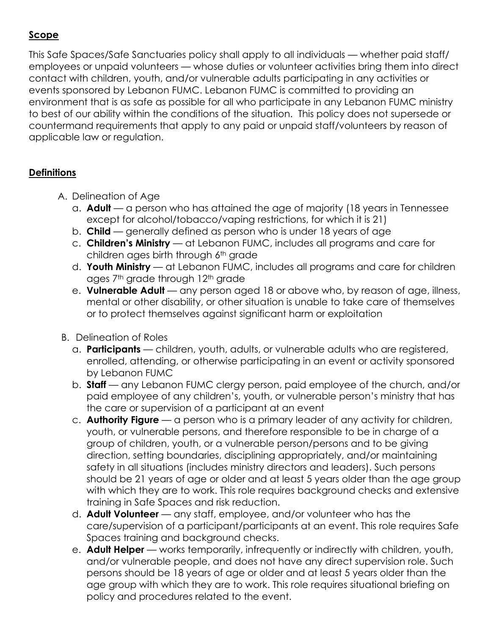## **Scope**

This Safe Spaces/Safe Sanctuaries policy shall apply to all individuals — whether paid staff/ employees or unpaid volunteers — whose duties or volunteer activities bring them into direct contact with children, youth, and/or vulnerable adults participating in any activities or events sponsored by Lebanon FUMC. Lebanon FUMC is committed to providing an environment that is as safe as possible for all who participate in any Lebanon FUMC ministry to best of our ability within the conditions of the situation. This policy does not supersede or countermand requirements that apply to any paid or unpaid staff/volunteers by reason of applicable law or regulation.

## **Definitions**

- A. Delineation of Age
	- a. **Adult** a person who has attained the age of majority (18 years in Tennessee except for alcohol/tobacco/vaping restrictions, for which it is 21)
	- b. **Child** generally defined as person who is under 18 years of age
	- c. **Children's Ministry** at Lebanon FUMC, includes all programs and care for children ages birth through 6th grade
	- d. **Youth Ministry** at Lebanon FUMC, includes all programs and care for children ages 7<sup>th</sup> grade through 12<sup>th</sup> grade
	- e. **Vulnerable Adult** any person aged 18 or above who, by reason of age, illness, mental or other disability, or other situation is unable to take care of themselves or to protect themselves against significant harm or exploitation
- B. Delineation of Roles
	- a. **Participants** children, youth, adults, or vulnerable adults who are registered, enrolled, attending, or otherwise participating in an event or activity sponsored by Lebanon FUMC
	- b. **Staff** any Lebanon FUMC clergy person, paid employee of the church, and/or paid employee of any children's, youth, or vulnerable person's ministry that has the care or supervision of a participant at an event
	- c. **Authority Figure** a person who is a primary leader of any activity for children, youth, or vulnerable persons, and therefore responsible to be in charge of a group of children, youth, or a vulnerable person/persons and to be giving direction, setting boundaries, disciplining appropriately, and/or maintaining safety in all situations (includes ministry directors and leaders). Such persons should be 21 years of age or older and at least 5 years older than the age group with which they are to work. This role requires background checks and extensive training in Safe Spaces and risk reduction.
	- d. **Adult Volunteer** any staff, employee, and/or volunteer who has the care/supervision of a participant/participants at an event. This role requires Safe Spaces training and background checks.
	- e. **Adult Helper** works temporarily, infrequently or indirectly with children, youth, and/or vulnerable people, and does not have any direct supervision role. Such persons should be 18 years of age or older and at least 5 years older than the age group with which they are to work. This role requires situational briefing on policy and procedures related to the event.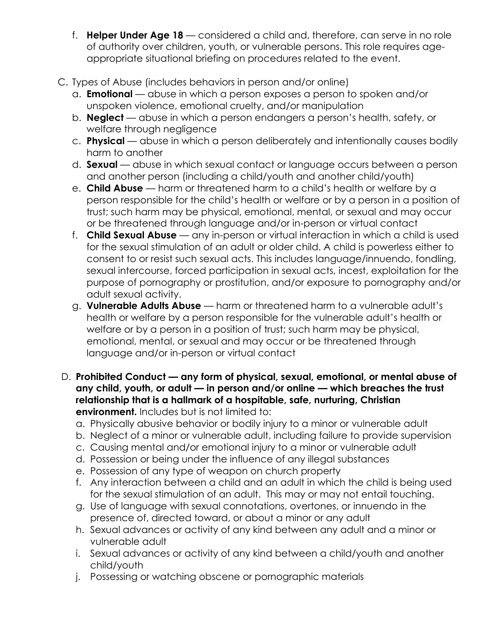- f. **Helper Under Age 18** considered a child and, therefore, can serve in no role of authority over children, youth, or vulnerable persons. This role requires ageappropriate situational briefing on procedures related to the event.
- C. Types of Abuse (includes behaviors in person and/or online)
	- a. **Emotional** abuse in which a person exposes a person to spoken and/or unspoken violence, emotional cruelty, and/or manipulation
	- b. **Neglect** abuse in which a person endangers a person's health, safety, or welfare through negligence
	- c. **Physical** abuse in which a person deliberately and intentionally causes bodily harm to another
	- d. **Sexual** abuse in which sexual contact or language occurs between a person and another person (including a child/youth and another child/youth)
	- e. **Child Abuse** harm or threatened harm to a child's health or welfare by a person responsible for the child's health or welfare or by a person in a position of trust; such harm may be physical, emotional, mental, or sexual and may occur or be threatened through language and/or in-person or virtual contact
	- f. **Child Sexual Abuse** any in-person or virtual interaction in which a child is used for the sexual stimulation of an adult or older child. A child is powerless either to consent to or resist such sexual acts. This includes language/innuendo, fondling, sexual intercourse, forced participation in sexual acts, incest, exploitation for the purpose of pornography or prostitution, and/or exposure to pornography and/or adult sexual activity.
	- g. **Vulnerable Adults Abuse** harm or threatened harm to a vulnerable adult's health or welfare by a person responsible for the vulnerable adult's health or welfare or by a person in a position of trust; such harm may be physical, emotional, mental, or sexual and may occur or be threatened through language and/or in-person or virtual contact
- D. **Prohibited Conduct — any form of physical, sexual, emotional, or mental abuse of any child, youth, or adult — in person and/or online — which breaches the trust relationship that is a hallmark of a hospitable, safe, nurturing, Christian environment.** Includes but is not limited to:
	- a. Physically abusive behavior or bodily injury to a minor or vulnerable adult
	- b. Neglect of a minor or vulnerable adult, including failure to provide supervision
	- c. Causing mental and/or emotional injury to a minor or vulnerable adult
	- d. Possession or being under the influence of any illegal substances
	- e. Possession of any type of weapon on church property
	- f. Any interaction between a child and an adult in which the child is being used for the sexual stimulation of an adult. This may or may not entail touching.
	- g. Use of language with sexual connotations, overtones, or innuendo in the presence of, directed toward, or about a minor or any adult
	- h. Sexual advances or activity of any kind between any adult and a minor or vulnerable adult
	- i. Sexual advances or activity of any kind between a child/youth and another child/youth
	- j. Possessing or watching obscene or pornographic materials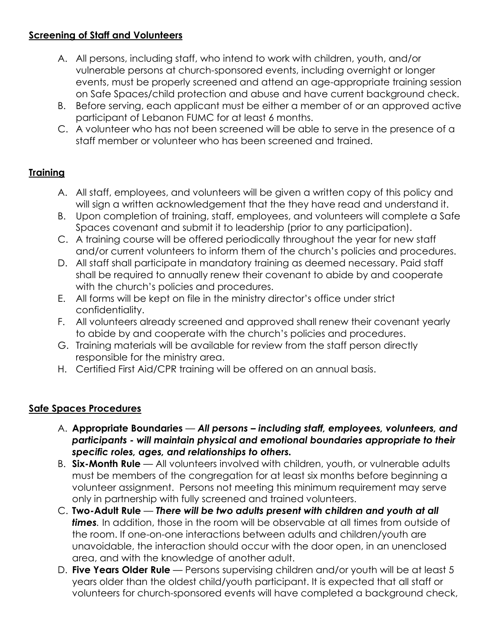#### **Screening of Staff and Volunteers**

- A. All persons, including staff, who intend to work with children, youth, and/or vulnerable persons at church-sponsored events, including overnight or longer events, must be properly screened and attend an age-appropriate training session on Safe Spaces/child protection and abuse and have current background check.
- B. Before serving, each applicant must be either a member of or an approved active participant of Lebanon FUMC for at least 6 months.
- C. A volunteer who has not been screened will be able to serve in the presence of a staff member or volunteer who has been screened and trained.

## **Training**

- A. All staff, employees, and volunteers will be given a written copy of this policy and will sign a written acknowledgement that the they have read and understand it.
- B. Upon completion of training, staff, employees, and volunteers will complete a Safe Spaces covenant and submit it to leadership (prior to any participation).
- C. A training course will be offered periodically throughout the year for new staff and/or current volunteers to inform them of the church's policies and procedures.
- D. All staff shall participate in mandatory training as deemed necessary. Paid staff shall be required to annually renew their covenant to abide by and cooperate with the church's policies and procedures.
- E. All forms will be kept on file in the ministry director's office under strict confidentiality.
- F. All volunteers already screened and approved shall renew their covenant yearly to abide by and cooperate with the church's policies and procedures.
- G. Training materials will be available for review from the staff person directly responsible for the ministry area.
- H. Certified First Aid/CPR training will be offered on an annual basis.

# **Safe Spaces Procedures**

- A. **Appropriate Boundaries** *All persons – including staff, employees, volunteers, and participants - will maintain physical and emotional boundaries appropriate to their specific roles, ages, and relationships to others.*
- B. **Six-Month Rule** All volunteers involved with children, youth, or vulnerable adults must be members of the congregation for at least six months before beginning a volunteer assignment. Persons not meeting this minimum requirement may serve only in partnership with fully screened and trained volunteers.
- C. **Two-Adult Rule** *There will be two adults present with children and youth at all times.* In addition, those in the room will be observable at all times from outside of the room. If one-on-one interactions between adults and children/youth are unavoidable, the interaction should occur with the door open, in an unenclosed area, and with the knowledge of another adult.
- D. **Five Years Older Rule** Persons supervising children and/or youth will be at least 5 years older than the oldest child/youth participant. It is expected that all staff or volunteers for church-sponsored events will have completed a background check,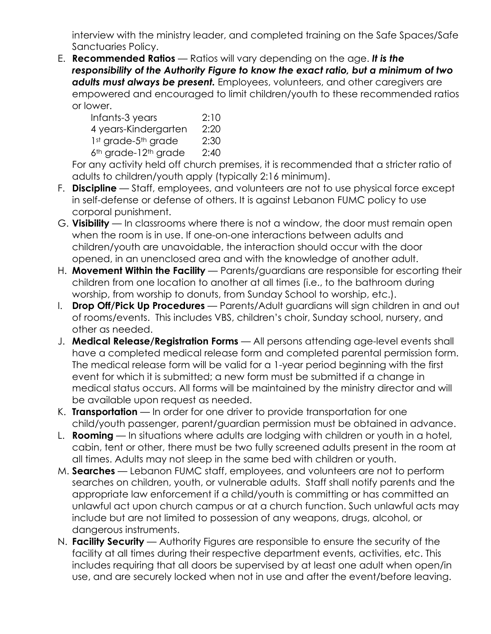interview with the ministry leader, and completed training on the Safe Spaces/Safe Sanctuaries Policy.

E. **Recommended Ratios** — Ratios will vary depending on the age. *It is the responsibility of the Authority Figure to know the exact ratio, but a minimum of two adults must always be present.* Employees, volunteers, and other caregivers are empowered and encouraged to limit children/youth to these recommended ratios or lower.

 Infants-3 years 2:10 4 years-Kindergarten 2:20 1st grade-5<sup>th</sup> grade 2:30  $6<sup>th</sup>$  grade-12<sup>th</sup> grade 2:40

For any activity held off church premises, it is recommended that a stricter ratio of adults to children/youth apply (typically 2:16 minimum).

- F. **Discipline** Staff, employees, and volunteers are not to use physical force except in self-defense or defense of others. It is against Lebanon FUMC policy to use corporal punishment.
- G. **Visibility** In classrooms where there is not a window, the door must remain open when the room is in use. If one-on-one interactions between adults and children/youth are unavoidable, the interaction should occur with the door opened, in an unenclosed area and with the knowledge of another adult.
- H. **Movement Within the Facility** Parents/guardians are responsible for escorting their children from one location to another at all times (i.e., to the bathroom during worship, from worship to donuts, from Sunday School to worship, etc.).
- I. **Drop Off/Pick Up Procedures** Parents/Adult guardians will sign children in and out of rooms/events. This includes VBS, children's choir, Sunday school, nursery, and other as needed.
- J. **Medical Release/Registration Forms** All persons attending age-level events shall have a completed medical release form and completed parental permission form. The medical release form will be valid for a 1-year period beginning with the first event for which it is submitted; a new form must be submitted if a change in medical status occurs. All forms will be maintained by the ministry director and will be available upon request as needed.
- K. **Transportation** In order for one driver to provide transportation for one child/youth passenger, parent/guardian permission must be obtained in advance.
- L. **Rooming** In situations where adults are lodging with children or youth in a hotel, cabin, tent or other, there must be two fully screened adults present in the room at all times. Adults may not sleep in the same bed with children or youth.
- M. **Searches** Lebanon FUMC staff, employees, and volunteers are not to perform searches on children, youth, or vulnerable adults. Staff shall notify parents and the appropriate law enforcement if a child/youth is committing or has committed an unlawful act upon church campus or at a church function. Such unlawful acts may include but are not limited to possession of any weapons, drugs, alcohol, or dangerous instruments.
- N. **Facility Security** Authority Figures are responsible to ensure the security of the facility at all times during their respective department events, activities, etc. This includes requiring that all doors be supervised by at least one adult when open/in use, and are securely locked when not in use and after the event/before leaving.